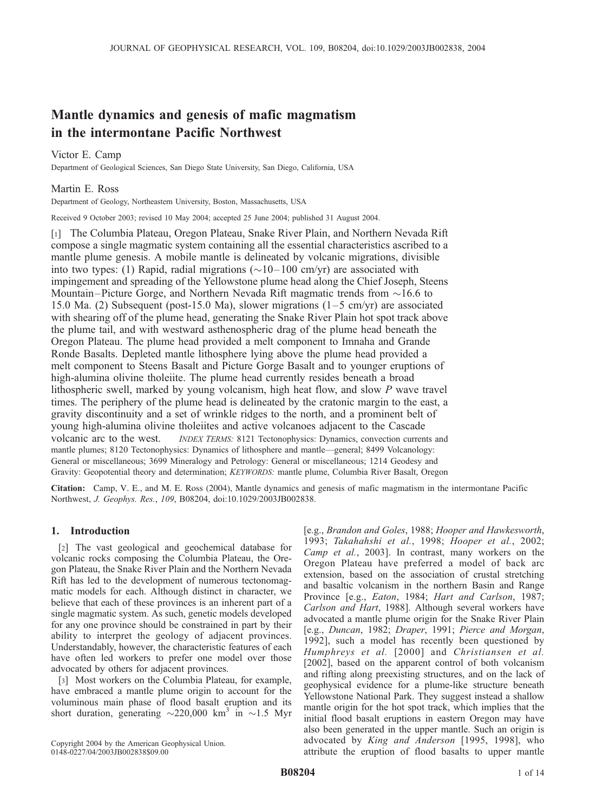# Mantle dynamics and genesis of mafic magmatism in the intermontane Pacific Northwest

Victor E. Camp Department of Geological Sciences, San Diego State University, San Diego, California, USA

# Martin E. Ross

Department of Geology, Northeastern University, Boston, Massachusetts, USA

Received 9 October 2003; revised 10 May 2004; accepted 25 June 2004; published 31 August 2004.

[1] The Columbia Plateau, Oregon Plateau, Snake River Plain, and Northern Nevada Rift compose a single magmatic system containing all the essential characteristics ascribed to a mantle plume genesis. A mobile mantle is delineated by volcanic migrations, divisible into two types: (1) Rapid, radial migrations ( $\sim$ 10–100 cm/yr) are associated with impingement and spreading of the Yellowstone plume head along the Chief Joseph, Steens Mountain–Picture Gorge, and Northern Nevada Rift magmatic trends from  $\sim$ 16.6 to 15.0 Ma. (2) Subsequent (post-15.0 Ma), slower migrations (1–5 cm/yr) are associated with shearing off of the plume head, generating the Snake River Plain hot spot track above the plume tail, and with westward asthenospheric drag of the plume head beneath the Oregon Plateau. The plume head provided a melt component to Imnaha and Grande Ronde Basalts. Depleted mantle lithosphere lying above the plume head provided a melt component to Steens Basalt and Picture Gorge Basalt and to younger eruptions of high-alumina olivine tholeiite. The plume head currently resides beneath a broad lithospheric swell, marked by young volcanism, high heat flow, and slow P wave travel times. The periphery of the plume head is delineated by the cratonic margin to the east, a gravity discontinuity and a set of wrinkle ridges to the north, and a prominent belt of young high-alumina olivine tholeiites and active volcanoes adjacent to the Cascade volcanic arc to the west. *INDEX TERMS:* 8121 Tectonophysics: Dynamics, convection currents and mantle plumes; 8120 Tectonophysics: Dynamics of lithosphere and mantle—general; 8499 Volcanology: General or miscellaneous; 3699 Mineralogy and Petrology: General or miscellaneous; 1214 Geodesy and Gravity: Geopotential theory and determination; KEYWORDS: mantle plume, Columbia River Basalt, Oregon

Citation: Camp, V. E., and M. E. Ross (2004), Mantle dynamics and genesis of mafic magmatism in the intermontane Pacific Northwest, J. Geophys. Res., 109, B08204, doi:10.1029/2003JB002838.

# 1. Introduction

[2] The vast geological and geochemical database for volcanic rocks composing the Columbia Plateau, the Oregon Plateau, the Snake River Plain and the Northern Nevada Rift has led to the development of numerous tectonomagmatic models for each. Although distinct in character, we believe that each of these provinces is an inherent part of a single magmatic system. As such, genetic models developed for any one province should be constrained in part by their ability to interpret the geology of adjacent provinces. Understandably, however, the characteristic features of each have often led workers to prefer one model over those advocated by others for adjacent provinces.

[3] Most workers on the Columbia Plateau, for example, have embraced a mantle plume origin to account for the voluminous main phase of flood basalt eruption and its short duration, generating  $\sim$ 220,000 km<sup>3</sup> in  $\sim$ 1.5 Myr

Copyright 2004 by the American Geophysical Union. 0148-0227/04/2003JB002838\$09.00

[e.g., Brandon and Goles, 1988; Hooper and Hawkesworth, 1993; Takahahshi et al., 1998; Hooper et al., 2002; Camp et al., 2003]. In contrast, many workers on the Oregon Plateau have preferred a model of back arc extension, based on the association of crustal stretching and basaltic volcanism in the northern Basin and Range Province [e.g., *Eaton*, 1984; *Hart and Carlson*, 1987; Carlson and Hart, 1988]. Although several workers have advocated a mantle plume origin for the Snake River Plain [e.g., Duncan, 1982; Draper, 1991; Pierce and Morgan, 1992], such a model has recently been questioned by Humphreys et al. [2000] and Christiansen et al. [2002], based on the apparent control of both volcanism and rifting along preexisting structures, and on the lack of geophysical evidence for a plume-like structure beneath Yellowstone National Park. They suggest instead a shallow mantle origin for the hot spot track, which implies that the initial flood basalt eruptions in eastern Oregon may have also been generated in the upper mantle. Such an origin is advocated by King and Anderson [1995, 1998], who attribute the eruption of flood basalts to upper mantle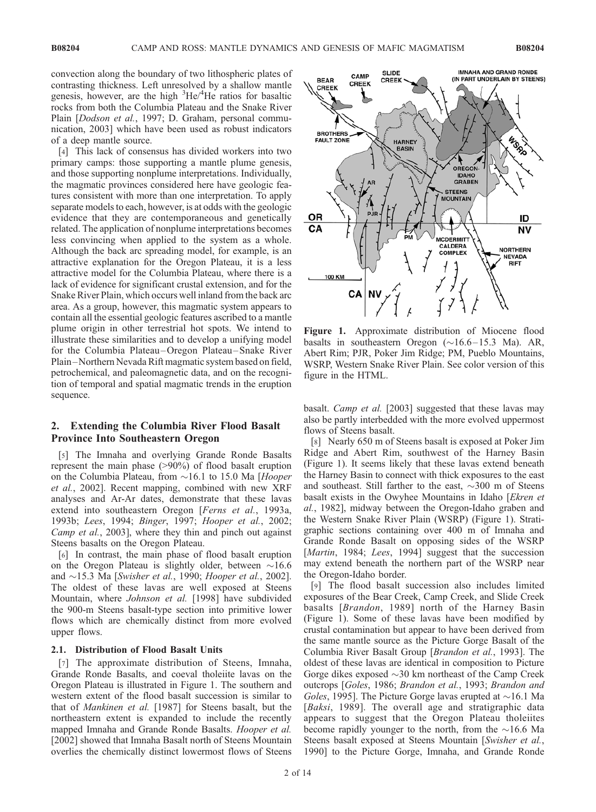convection along the boundary of two lithospheric plates of contrasting thickness. Left unresolved by a shallow mantle genesis, however, are the high <sup>3</sup>He/<sup>4</sup>He ratios for basaltic rocks from both the Columbia Plateau and the Snake River Plain [Dodson et al., 1997; D. Graham, personal communication, 2003] which have been used as robust indicators of a deep mantle source.

[4] This lack of consensus has divided workers into two primary camps: those supporting a mantle plume genesis, and those supporting nonplume interpretations. Individually, the magmatic provinces considered here have geologic features consistent with more than one interpretation. To apply separate models to each, however, is at odds with the geologic evidence that they are contemporaneous and genetically related. The application of nonplume interpretations becomes less convincing when applied to the system as a whole. Although the back arc spreading model, for example, is an attractive explanation for the Oregon Plateau, it is a less attractive model for the Columbia Plateau, where there is a lack of evidence for significant crustal extension, and for the Snake River Plain, which occurs well inland from the back arc area. As a group, however, this magmatic system appears to contain all the essential geologic features ascribed to a mantle plume origin in other terrestrial hot spots. We intend to illustrate these similarities and to develop a unifying model for the Columbia Plateau –Oregon Plateau –Snake River Plain –Northern Nevada Rift magmatic system based on field, petrochemical, and paleomagnetic data, and on the recognition of temporal and spatial magmatic trends in the eruption sequence.

#### 2. Extending the Columbia River Flood Basalt Province Into Southeastern Oregon

[5] The Imnaha and overlying Grande Ronde Basalts represent the main phase (>90%) of flood basalt eruption on the Columbia Plateau, from  $\sim$  16.1 to 15.0 Ma [Hooper et al., 2002]. Recent mapping, combined with new XRF analyses and Ar-Ar dates, demonstrate that these lavas extend into southeastern Oregon [Ferns et al., 1993a, 1993b; Lees, 1994; Binger, 1997; Hooper et al., 2002; Camp et al., 2003], where they thin and pinch out against Steens basalts on the Oregon Plateau.

[6] In contrast, the main phase of flood basalt eruption on the Oregon Plateau is slightly older, between  $\sim 16.6$ and  $\sim$ 15.3 Ma [Swisher et al., 1990; Hooper et al., 2002]. The oldest of these lavas are well exposed at Steens Mountain, where Johnson et al. [1998] have subdivided the 900-m Steens basalt-type section into primitive lower flows which are chemically distinct from more evolved upper flows.

### 2.1. Distribution of Flood Basalt Units

[7] The approximate distribution of Steens, Imnaha, Grande Ronde Basalts, and coeval tholeiite lavas on the Oregon Plateau is illustrated in Figure 1. The southern and western extent of the flood basalt succession is similar to that of Mankinen et al. [1987] for Steens basalt, but the northeastern extent is expanded to include the recently mapped Imnaha and Grande Ronde Basalts. Hooper et al. [2002] showed that Imnaha Basalt north of Steens Mountain overlies the chemically distinct lowermost flows of Steens



Figure 1. Approximate distribution of Miocene flood basalts in southeastern Oregon  $(\sim 16.6 - 15.3 \text{ Ma})$ . AR, Abert Rim; PJR, Poker Jim Ridge; PM, Pueblo Mountains, WSRP, Western Snake River Plain. See color version of this figure in the HTML.

basalt. Camp et al. [2003] suggested that these lavas may also be partly interbedded with the more evolved uppermost flows of Steens basalt.

[8] Nearly 650 m of Steens basalt is exposed at Poker Jim Ridge and Abert Rim, southwest of the Harney Basin (Figure 1). It seems likely that these lavas extend beneath the Harney Basin to connect with thick exposures to the east and southeast. Still farther to the east,  $\sim$ 300 m of Steens basalt exists in the Owyhee Mountains in Idaho [Ekren et al., 1982], midway between the Oregon-Idaho graben and the Western Snake River Plain (WSRP) (Figure 1). Stratigraphic sections containing over 400 m of Imnaha and Grande Ronde Basalt on opposing sides of the WSRP [Martin, 1984; Lees, 1994] suggest that the succession may extend beneath the northern part of the WSRP near the Oregon-Idaho border.

[9] The flood basalt succession also includes limited exposures of the Bear Creek, Camp Creek, and Slide Creek basalts [*Brandon*, 1989] north of the Harney Basin (Figure 1). Some of these lavas have been modified by crustal contamination but appear to have been derived from the same mantle source as the Picture Gorge Basalt of the Columbia River Basalt Group [Brandon et al., 1993]. The oldest of these lavas are identical in composition to Picture Gorge dikes exposed  $\sim$ 30 km northeast of the Camp Creek outcrops [Goles, 1986; Brandon et al., 1993; Brandon and Goles, 1995]. The Picture Gorge lavas erupted at  $\sim$ 16.1 Ma [Baksi, 1989]. The overall age and stratigraphic data appears to suggest that the Oregon Plateau tholeiites become rapidly younger to the north, from the  $\sim$ 16.6 Ma Steens basalt exposed at Steens Mountain [Swisher et al., 1990] to the Picture Gorge, Imnaha, and Grande Ronde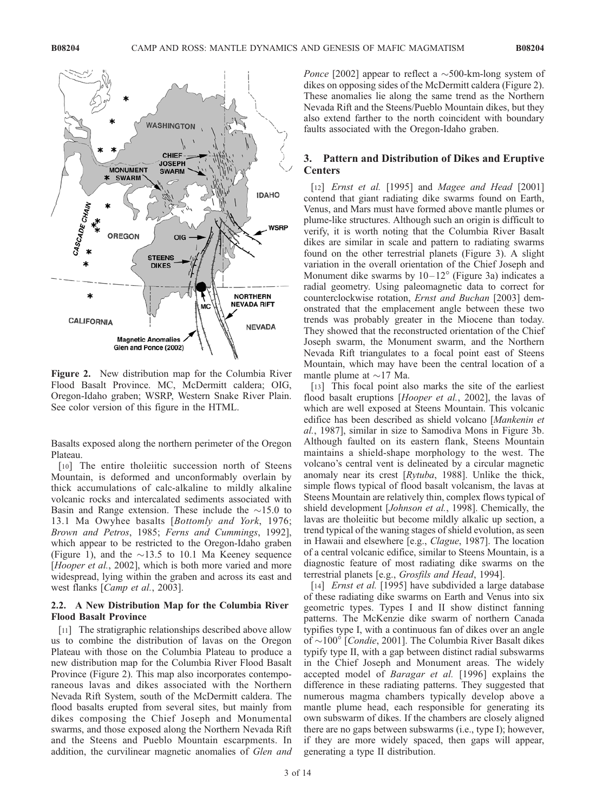

Figure 2. New distribution map for the Columbia River Flood Basalt Province. MC, McDermitt caldera; OIG, Oregon-Idaho graben; WSRP, Western Snake River Plain. See color version of this figure in the HTML.

Basalts exposed along the northern perimeter of the Oregon Plateau.

[10] The entire tholeiitic succession north of Steens Mountain, is deformed and unconformably overlain by thick accumulations of calc-alkaline to mildly alkaline volcanic rocks and intercalated sediments associated with Basin and Range extension. These include the  $\sim$ 15.0 to 13.1 Ma Owyhee basalts [Bottomly and York, 1976; Brown and Petros, 1985; Ferns and Cummings, 1992], which appear to be restricted to the Oregon-Idaho graben (Figure 1), and the  $\sim$ 13.5 to 10.1 Ma Keeney sequence [*Hooper et al.*, 2002], which is both more varied and more widespread, lying within the graben and across its east and west flanks [Camp et al., 2003].

## 2.2. A New Distribution Map for the Columbia River Flood Basalt Province

[11] The stratigraphic relationships described above allow us to combine the distribution of lavas on the Oregon Plateau with those on the Columbia Plateau to produce a new distribution map for the Columbia River Flood Basalt Province (Figure 2). This map also incorporates contemporaneous lavas and dikes associated with the Northern Nevada Rift System, south of the McDermitt caldera. The flood basalts erupted from several sites, but mainly from dikes composing the Chief Joseph and Monumental swarms, and those exposed along the Northern Nevada Rift and the Steens and Pueblo Mountain escarpments. In addition, the curvilinear magnetic anomalies of Glen and

*Ponce* [2002] appear to reflect a  $\sim$ 500-km-long system of dikes on opposing sides of the McDermitt caldera (Figure 2). These anomalies lie along the same trend as the Northern Nevada Rift and the Steens/Pueblo Mountain dikes, but they also extend farther to the north coincident with boundary faults associated with the Oregon-Idaho graben.

# 3. Pattern and Distribution of Dikes and Eruptive **Centers**

[12] *Ernst et al.* [1995] and *Magee and Head* [2001] contend that giant radiating dike swarms found on Earth, Venus, and Mars must have formed above mantle plumes or plume-like structures. Although such an origin is difficult to verify, it is worth noting that the Columbia River Basalt dikes are similar in scale and pattern to radiating swarms found on the other terrestrial planets (Figure 3). A slight variation in the overall orientation of the Chief Joseph and Monument dike swarms by  $10-12^{\circ}$  (Figure 3a) indicates a radial geometry. Using paleomagnetic data to correct for counterclockwise rotation, Ernst and Buchan [2003] demonstrated that the emplacement angle between these two trends was probably greater in the Miocene than today. They showed that the reconstructed orientation of the Chief Joseph swarm, the Monument swarm, and the Northern Nevada Rift triangulates to a focal point east of Steens Mountain, which may have been the central location of a mantle plume at  $\sim$ 17 Ma.

[13] This focal point also marks the site of the earliest flood basalt eruptions [Hooper et al., 2002], the lavas of which are well exposed at Steens Mountain. This volcanic edifice has been described as shield volcano [Mankenin et al., 1987], similar in size to Samodiva Mons in Figure 3b. Although faulted on its eastern flank, Steens Mountain maintains a shield-shape morphology to the west. The volcano's central vent is delineated by a circular magnetic anomaly near its crest [Rytuba, 1988]. Unlike the thick, simple flows typical of flood basalt volcanism, the lavas at Steens Mountain are relatively thin, complex flows typical of shield development [*Johnson et al.*, 1998]. Chemically, the lavas are tholeiitic but become mildly alkalic up section, a trend typical of the waning stages of shield evolution, as seen in Hawaii and elsewhere [e.g., Clague, 1987]. The location of a central volcanic edifice, similar to Steens Mountain, is a diagnostic feature of most radiating dike swarms on the terrestrial planets [e.g., Grosfils and Head, 1994].

[14] *Ernst et al.* [1995] have subdivided a large database of these radiating dike swarms on Earth and Venus into six geometric types. Types I and II show distinct fanning patterns. The McKenzie dike swarm of northern Canada typifies type I, with a continuous fan of dikes over an angle of  $\sim$ 100 $^{\circ}$  [*Condie*, 2001]. The Columbia River Basalt dikes typify type II, with a gap between distinct radial subswarms in the Chief Joseph and Monument areas. The widely accepted model of Baragar et al. [1996] explains the difference in these radiating patterns. They suggested that numerous magma chambers typically develop above a mantle plume head, each responsible for generating its own subswarm of dikes. If the chambers are closely aligned there are no gaps between subswarms (i.e., type I); however, if they are more widely spaced, then gaps will appear, generating a type II distribution.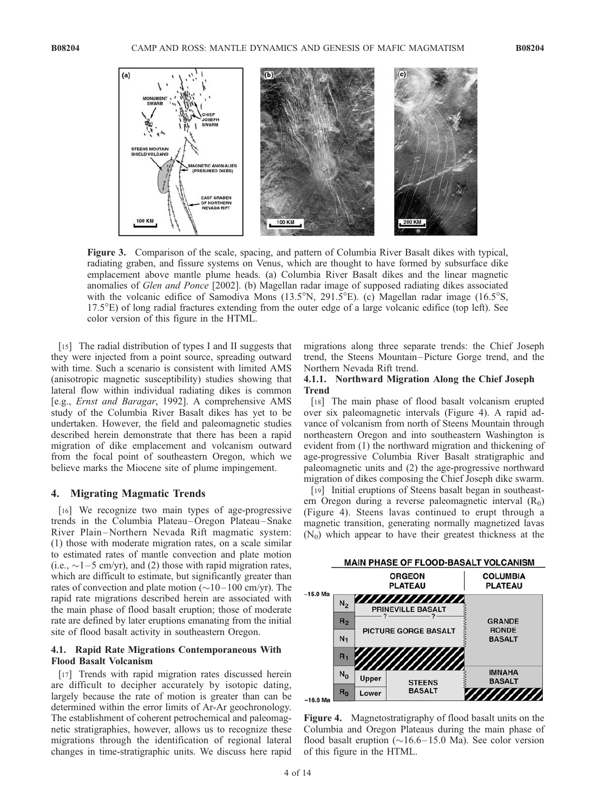

Figure 3. Comparison of the scale, spacing, and pattern of Columbia River Basalt dikes with typical, radiating graben, and fissure systems on Venus, which are thought to have formed by subsurface dike emplacement above mantle plume heads. (a) Columbia River Basalt dikes and the linear magnetic anomalies of Glen and Ponce [2002]. (b) Magellan radar image of supposed radiating dikes associated with the volcanic edifice of Samodiva Mons  $(13.5^{\circ}N, 291.5^{\circ}E)$ . (c) Magellan radar image  $(16.5^{\circ}S,$  $17.5^{\circ}$ E) of long radial fractures extending from the outer edge of a large volcanic edifice (top left). See color version of this figure in the HTML.

[15] The radial distribution of types I and II suggests that they were injected from a point source, spreading outward with time. Such a scenario is consistent with limited AMS (anisotropic magnetic susceptibility) studies showing that lateral flow within individual radiating dikes is common [e.g., Ernst and Baragar, 1992]. A comprehensive AMS study of the Columbia River Basalt dikes has yet to be undertaken. However, the field and paleomagnetic studies described herein demonstrate that there has been a rapid migration of dike emplacement and volcanism outward from the focal point of southeastern Oregon, which we believe marks the Miocene site of plume impingement.

#### 4. Migrating Magmatic Trends

[16] We recognize two main types of age-progressive trends in the Columbia Plateau –Oregon Plateau –Snake River Plain –Northern Nevada Rift magmatic system: (1) those with moderate migration rates, on a scale similar to estimated rates of mantle convection and plate motion (i.e.,  $\sim$ 1–5 cm/yr), and (2) those with rapid migration rates, which are difficult to estimate, but significantly greater than rates of convection and plate motion  $(\sim 10-100 \text{ cm/yr})$ . The rapid rate migrations described herein are associated with the main phase of flood basalt eruption; those of moderate rate are defined by later eruptions emanating from the initial site of flood basalt activity in southeastern Oregon.

#### 4.1. Rapid Rate Migrations Contemporaneous With Flood Basalt Volcanism

[17] Trends with rapid migration rates discussed herein are difficult to decipher accurately by isotopic dating, largely because the rate of motion is greater than can be determined within the error limits of Ar-Ar geochronology. The establishment of coherent petrochemical and paleomagnetic stratigraphies, however, allows us to recognize these migrations through the identification of regional lateral changes in time-stratigraphic units. We discuss here rapid migrations along three separate trends: the Chief Joseph trend, the Steens Mountain –Picture Gorge trend, and the Northern Nevada Rift trend.

#### 4.1.1. Northward Migration Along the Chief Joseph Trend

[18] The main phase of flood basalt volcanism erupted over six paleomagnetic intervals (Figure 4). A rapid advance of volcanism from north of Steens Mountain through northeastern Oregon and into southeastern Washington is evident from (1) the northward migration and thickening of age-progressive Columbia River Basalt stratigraphic and paleomagnetic units and (2) the age-progressive northward migration of dikes composing the Chief Joseph dike swarm.

[19] Initial eruptions of Steens basalt began in southeastern Oregon during a reverse paleomagnetic interval  $(R_0)$ (Figure 4). Steens lavas continued to erupt through a magnetic transition, generating normally magnetized lavas  $(N_0)$  which appear to have their greatest thickness at the



Figure 4. Magnetostratigraphy of flood basalt units on the Columbia and Oregon Plateaus during the main phase of flood basalt eruption ( $\sim$ 16.6–15.0 Ma). See color version of this figure in the HTML.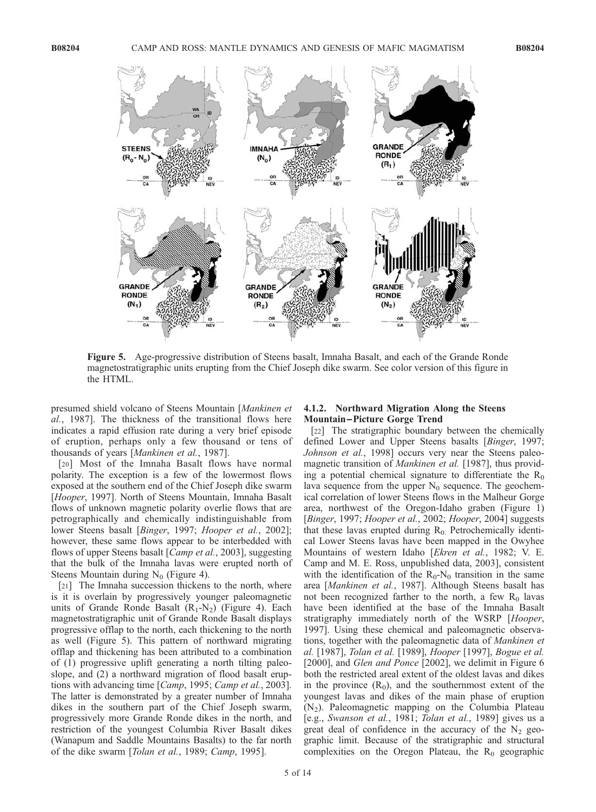

Figure 5. Age-progressive distribution of Steens basalt, Imnaha Basalt, and each of the Grande Ronde magnetostratigraphic units erupting from the Chief Joseph dike swarm. See color version of this figure in the HTML.

presumed shield volcano of Steens Mountain [Mankinen et al., 1987]. The thickness of the transitional flows here indicates a rapid effusion rate during a very brief episode of eruption, perhaps only a few thousand or tens of thousands of years [Mankinen et al., 1987].

[20] Most of the Imnaha Basalt flows have normal polarity. The exception is a few of the lowermost flows exposed at the southern end of the Chief Joseph dike swarm [Hooper, 1997]. North of Steens Mountain, Imnaha Basalt flows of unknown magnetic polarity overlie flows that are petrographically and chemically indistinguishable from lower Steens basalt [Binger, 1997; Hooper et al., 2002]; however, these same flows appear to be interbedded with flows of upper Steens basalt [*Camp et al.*, 2003], suggesting that the bulk of the Imnaha lavas were erupted north of Steens Mountain during  $N_0$  (Figure 4).

[21] The Imnaha succession thickens to the north, where is it is overlain by progressively younger paleomagnetic units of Grande Ronde Basalt  $(R_1-N_2)$  (Figure 4). Each magnetostratigraphic unit of Grande Ronde Basalt displays progressive offlap to the north, each thickening to the north as well (Figure 5). This pattern of northward migrating offlap and thickening has been attributed to a combination of (1) progressive uplift generating a north tilting paleoslope, and (2) a northward migration of flood basalt eruptions with advancing time [Camp, 1995; Camp et al., 2003]. The latter is demonstrated by a greater number of Imnaha dikes in the southern part of the Chief Joseph swarm, progressively more Grande Ronde dikes in the north, and restriction of the youngest Columbia River Basalt dikes (Wanapum and Saddle Mountains Basalts) to the far north of the dike swarm [Tolan et al., 1989; Camp, 1995].

### 4.1.2. Northward Migration Along the Steens Mountain –Picture Gorge Trend

[22] The stratigraphic boundary between the chemically defined Lower and Upper Steens basalts [Binger, 1997; Johnson et al., 1998] occurs very near the Steens paleomagnetic transition of Mankinen et al. [1987], thus providing a potential chemical signature to differentiate the  $R_0$ lava sequence from the upper  $N_0$  sequence. The geochemical correlation of lower Steens flows in the Malheur Gorge area, northwest of the Oregon-Idaho graben (Figure 1) [Binger, 1997; Hooper et al., 2002; Hooper, 2004] suggests that these lavas erupted during  $R_0$ . Petrochemically identical Lower Steens lavas have been mapped in the Owyhee Mountains of western Idaho [Ekren et al., 1982; V. E. Camp and M. E. Ross, unpublished data, 2003], consistent with the identification of the  $R_0$ -N<sub>0</sub> transition in the same area [Mankinen et al., 1987]. Although Steens basalt has not been recognized farther to the north, a few  $R_0$  lavas have been identified at the base of the Imnaha Basalt stratigraphy immediately north of the WSRP [Hooper, 1997]. Using these chemical and paleomagnetic observations, together with the paleomagnetic data of Mankinen et al. [1987], Tolan et al. [1989], Hooper [1997], Bogue et al. [2000], and *Glen and Ponce* [2002], we delimit in Figure 6 both the restricted areal extent of the oldest lavas and dikes in the province  $(R_0)$ , and the southernmost extent of the youngest lavas and dikes of the main phase of eruption  $(N_2)$ . Paleomagnetic mapping on the Columbia Plateau [e.g., Swanson et al., 1981; Tolan et al., 1989] gives us a great deal of confidence in the accuracy of the  $N_2$  geographic limit. Because of the stratigraphic and structural complexities on the Oregon Plateau, the  $R_0$  geographic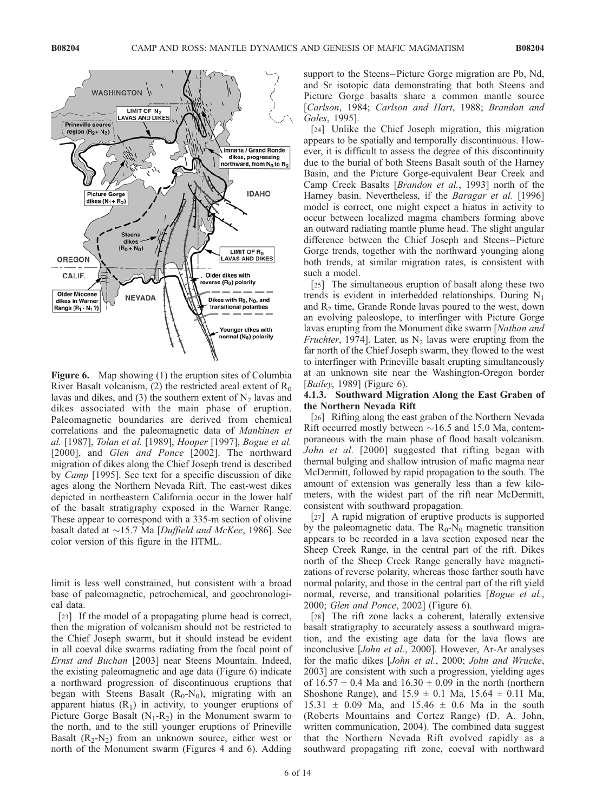

Figure 6. Map showing (1) the eruption sites of Columbia River Basalt volcanism, (2) the restricted areal extent of  $R_0$ lavas and dikes, and (3) the southern extent of  $N<sub>2</sub>$  lavas and dikes associated with the main phase of eruption. Paleomagnetic boundaries are derived from chemical correlations and the paleomagnetic data of Mankinen et al. [1987], Tolan et al. [1989], Hooper [1997], Bogue et al. [2000], and Glen and Ponce [2002]. The northward migration of dikes along the Chief Joseph trend is described by Camp [1995]. See text for a specific discussion of dike ages along the Northern Nevada Rift. The east-west dikes depicted in northeastern California occur in the lower half of the basalt stratigraphy exposed in the Warner Range. These appear to correspond with a 335-m section of olivine basalt dated at  $\sim$ 15.7 Ma [Duffield and McKee, 1986]. See color version of this figure in the HTML.

limit is less well constrained, but consistent with a broad base of paleomagnetic, petrochemical, and geochronological data.

[23] If the model of a propagating plume head is correct, then the migration of volcanism should not be restricted to the Chief Joseph swarm, but it should instead be evident in all coeval dike swarms radiating from the focal point of Ernst and Buchan [2003] near Steens Mountain. Indeed, the existing paleomagnetic and age data (Figure 6) indicate a northward progression of discontinuous eruptions that began with Steens Basalt  $(R_0-N_0)$ , migrating with an apparent hiatus  $(R_1)$  in activity, to younger eruptions of Picture Gorge Basalt  $(N_1-R_2)$  in the Monument swarm to the north, and to the still younger eruptions of Prineville Basalt  $(R_2-N_2)$  from an unknown source, either west or north of the Monument swarm (Figures 4 and 6). Adding

support to the Steens–Picture Gorge migration are Pb, Nd, and Sr isotopic data demonstrating that both Steens and Picture Gorge basalts share a common mantle source [Carlson, 1984; Carlson and Hart, 1988; Brandon and Goles, 1995].

[24] Unlike the Chief Joseph migration, this migration appears to be spatially and temporally discontinuous. However, it is difficult to assess the degree of this discontinuity due to the burial of both Steens Basalt south of the Harney Basin, and the Picture Gorge-equivalent Bear Creek and Camp Creek Basalts [Brandon et al., 1993] north of the Harney basin. Nevertheless, if the Baragar et al. [1996] model is correct, one might expect a hiatus in activity to occur between localized magma chambers forming above an outward radiating mantle plume head. The slight angular difference between the Chief Joseph and Steens –Picture Gorge trends, together with the northward younging along both trends, at similar migration rates, is consistent with such a model.

[25] The simultaneous eruption of basalt along these two trends is evident in interbedded relationships. During  $N_1$ and R2 time, Grande Ronde lavas poured to the west, down an evolving paleoslope, to interfinger with Picture Gorge lavas erupting from the Monument dike swarm [Nathan and Fruchter, 1974]. Later, as  $N_2$  lavas were erupting from the far north of the Chief Joseph swarm, they flowed to the west to interfinger with Prineville basalt erupting simultaneously at an unknown site near the Washington-Oregon border [*Bailey*, 1989] (Figure 6).

#### 4.1.3. Southward Migration Along the East Graben of the Northern Nevada Rift

[26] Rifting along the east graben of the Northern Nevada Rift occurred mostly between  $\sim$ 16.5 and 15.0 Ma, contemporaneous with the main phase of flood basalt volcanism. John et al. [2000] suggested that rifting began with thermal bulging and shallow intrusion of mafic magma near McDermitt, followed by rapid propagation to the south. The amount of extension was generally less than a few kilometers, with the widest part of the rift near McDermitt, consistent with southward propagation.

[27] A rapid migration of eruptive products is supported by the paleomagnetic data. The  $R_0$ -N<sub>0</sub> magnetic transition appears to be recorded in a lava section exposed near the Sheep Creek Range, in the central part of the rift. Dikes north of the Sheep Creek Range generally have magnetizations of reverse polarity, whereas those farther south have normal polarity, and those in the central part of the rift yield normal, reverse, and transitional polarities [*Bogue et al.*, 2000; Glen and Ponce, 2002] (Figure 6).

[28] The rift zone lacks a coherent, laterally extensive basalt stratigraphy to accurately assess a southward migration, and the existing age data for the lava flows are inconclusive [John et al., 2000]. However, Ar-Ar analyses for the mafic dikes [John et al., 2000; John and Wrucke, 2003] are consistent with such a progression, yielding ages of  $16.57 \pm 0.4$  Ma and  $16.30 \pm 0.09$  in the north (northern Shoshone Range), and  $15.9 \pm 0.1$  Ma,  $15.64 \pm 0.11$  Ma,  $15.31 \pm 0.09$  Ma, and  $15.46 \pm 0.6$  Ma in the south (Roberts Mountains and Cortez Range) (D. A. John, written communication, 2004). The combined data suggest that the Northern Nevada Rift evolved rapidly as a southward propagating rift zone, coeval with northward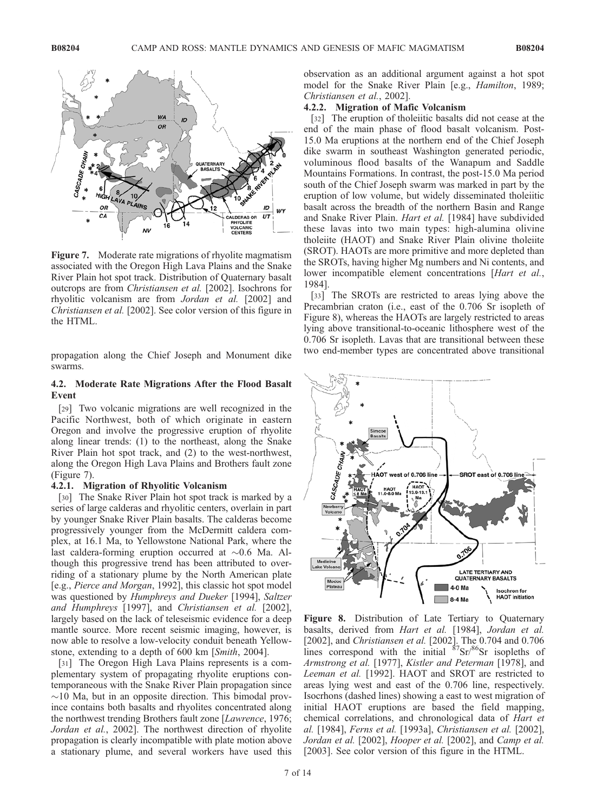

Figure 7. Moderate rate migrations of rhyolite magmatism associated with the Oregon High Lava Plains and the Snake River Plain hot spot track. Distribution of Quaternary basalt outcrops are from Christiansen et al. [2002]. Isochrons for rhyolitic volcanism are from Jordan et al. [2002] and Christiansen et al. [2002]. See color version of this figure in the HTML.

propagation along the Chief Joseph and Monument dike swarms.

### 4.2. Moderate Rate Migrations After the Flood Basalt Event

[29] Two volcanic migrations are well recognized in the Pacific Northwest, both of which originate in eastern Oregon and involve the progressive eruption of rhyolite along linear trends: (1) to the northeast, along the Snake River Plain hot spot track, and (2) to the west-northwest, along the Oregon High Lava Plains and Brothers fault zone (Figure 7).

### 4.2.1. Migration of Rhyolitic Volcanism

[30] The Snake River Plain hot spot track is marked by a series of large calderas and rhyolitic centers, overlain in part by younger Snake River Plain basalts. The calderas become progressively younger from the McDermitt caldera complex, at 16.1 Ma, to Yellowstone National Park, where the last caldera-forming eruption occurred at  $\sim 0.6$  Ma. Although this progressive trend has been attributed to overriding of a stationary plume by the North American plate [e.g., Pierce and Morgan, 1992], this classic hot spot model was questioned by Humphreys and Dueker [1994], Saltzer and Humphreys [1997], and Christiansen et al. [2002], largely based on the lack of teleseismic evidence for a deep mantle source. More recent seismic imaging, however, is now able to resolve a low-velocity conduit beneath Yellowstone, extending to a depth of 600 km [Smith, 2004].

[31] The Oregon High Lava Plains represents is a complementary system of propagating rhyolite eruptions contemporaneous with the Snake River Plain propagation since  $\sim$ 10 Ma, but in an opposite direction. This bimodal province contains both basalts and rhyolites concentrated along the northwest trending Brothers fault zone [Lawrence, 1976; Jordan et al., 2002]. The northwest direction of rhyolite propagation is clearly incompatible with plate motion above a stationary plume, and several workers have used this observation as an additional argument against a hot spot model for the Snake River Plain [e.g., *Hamilton*, 1989; Christiansen et al., 2002].

#### 4.2.2. Migration of Mafic Volcanism

[32] The eruption of tholeiitic basalts did not cease at the end of the main phase of flood basalt volcanism. Post-15.0 Ma eruptions at the northern end of the Chief Joseph dike swarm in southeast Washington generated periodic, voluminous flood basalts of the Wanapum and Saddle Mountains Formations. In contrast, the post-15.0 Ma period south of the Chief Joseph swarm was marked in part by the eruption of low volume, but widely disseminated tholeiitic basalt across the breadth of the northern Basin and Range and Snake River Plain. Hart et al. [1984] have subdivided these lavas into two main types: high-alumina olivine tholeiite (HAOT) and Snake River Plain olivine tholeiite (SROT). HAOTs are more primitive and more depleted than the SROTs, having higher Mg numbers and Ni contents, and lower incompatible element concentrations [Hart et al., 1984].

[33] The SROTs are restricted to areas lying above the Precambrian craton (i.e., east of the 0.706 Sr isopleth of Figure 8), whereas the HAOTs are largely restricted to areas lying above transitional-to-oceanic lithosphere west of the 0.706 Sr isopleth. Lavas that are transitional between these two end-member types are concentrated above transitional



Figure 8. Distribution of Late Tertiary to Quaternary basalts, derived from Hart et al. [1984], Jordan et al. [2002], and Christiansen et al. [2002]. The 0.704 and 0.706 lines correspond with the initial  ${}^{87}Sr/{}^{86}Sr$  isopleths of Armstrong et al. [1977], Kistler and Peterman [1978], and Leeman et al. [1992]. HAOT and SROT are restricted to areas lying west and east of the 0.706 line, respectively. Isocrhons (dashed lines) showing a east to west migration of initial HAOT eruptions are based the field mapping, chemical correlations, and chronological data of Hart et al. [1984], Ferns et al. [1993a], Christiansen et al. [2002], Jordan et al. [2002], Hooper et al. [2002], and Camp et al. [2003]. See color version of this figure in the HTML.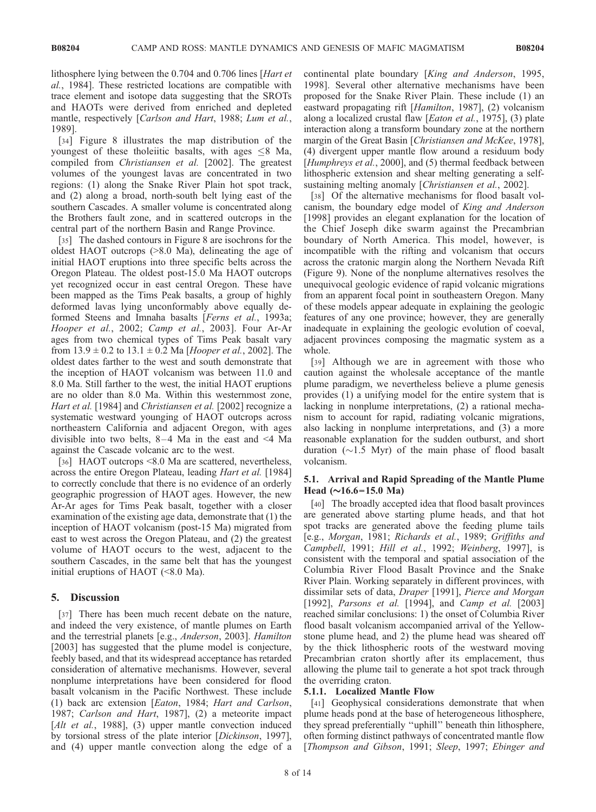lithosphere lying between the 0.704 and 0.706 lines [Hart et al., 1984]. These restricted locations are compatible with trace element and isotope data suggesting that the SROTs and HAOTs were derived from enriched and depleted mantle, respectively [Carlson and Hart, 1988; Lum et al., 1989].

[34] Figure 8 illustrates the map distribution of the youngest of these tholeiitic basalts, with ages  $\leq$ 8 Ma, compiled from Christiansen et al. [2002]. The greatest volumes of the youngest lavas are concentrated in two regions: (1) along the Snake River Plain hot spot track, and (2) along a broad, north-south belt lying east of the southern Cascades. A smaller volume is concentrated along the Brothers fault zone, and in scattered outcrops in the central part of the northern Basin and Range Province.

[35] The dashed contours in Figure 8 are isochrons for the oldest HAOT outcrops (>8.0 Ma), delineating the age of initial HAOT eruptions into three specific belts across the Oregon Plateau. The oldest post-15.0 Ma HAOT outcrops yet recognized occur in east central Oregon. These have been mapped as the Tims Peak basalts, a group of highly deformed lavas lying unconformably above equally deformed Steens and Imnaha basalts [Ferns et al., 1993a; Hooper et al., 2002; Camp et al., 2003]. Four Ar-Ar ages from two chemical types of Tims Peak basalt vary from  $13.9 \pm 0.2$  to  $13.1 \pm 0.2$  Ma [*Hooper et al.*, 2002]. The oldest dates farther to the west and south demonstrate that the inception of HAOT volcanism was between 11.0 and 8.0 Ma. Still farther to the west, the initial HAOT eruptions are no older than 8.0 Ma. Within this westernmost zone, Hart et al. [1984] and Christiansen et al. [2002] recognize a systematic westward younging of HAOT outcrops across northeastern California and adjacent Oregon, with ages divisible into two belts,  $8-4$  Ma in the east and <4 Ma against the Cascade volcanic arc to the west.

[36] HAOT outcrops <8.0 Ma are scattered, nevertheless, across the entire Oregon Plateau, leading Hart et al. [1984] to correctly conclude that there is no evidence of an orderly geographic progression of HAOT ages. However, the new Ar-Ar ages for Tims Peak basalt, together with a closer examination of the existing age data, demonstrate that (1) the inception of HAOT volcanism (post-15 Ma) migrated from east to west across the Oregon Plateau, and (2) the greatest volume of HAOT occurs to the west, adjacent to the southern Cascades, in the same belt that has the youngest initial eruptions of HAOT (<8.0 Ma).

#### 5. Discussion

[37] There has been much recent debate on the nature, and indeed the very existence, of mantle plumes on Earth and the terrestrial planets [e.g., Anderson, 2003]. Hamilton [2003] has suggested that the plume model is conjecture, feebly based, and that its widespread acceptance has retarded consideration of alternative mechanisms. However, several nonplume interpretations have been considered for flood basalt volcanism in the Pacific Northwest. These include (1) back arc extension [Eaton, 1984; Hart and Carlson, 1987; Carlson and Hart, 1987], (2) a meteorite impact [Alt et al., 1988], (3) upper mantle convection induced by torsional stress of the plate interior [Dickinson, 1997], and (4) upper mantle convection along the edge of a

continental plate boundary [King and Anderson, 1995, 1998]. Several other alternative mechanisms have been proposed for the Snake River Plain. These include (1) an eastward propagating rift [Hamilton, 1987], (2) volcanism along a localized crustal flaw [Eaton et al., 1975], (3) plate interaction along a transform boundary zone at the northern margin of the Great Basin [Christiansen and McKee, 1978], (4) divergent upper mantle flow around a residuum body [Humphreys et al., 2000], and (5) thermal feedback between lithospheric extension and shear melting generating a selfsustaining melting anomaly [Christiansen et al., 2002].

[38] Of the alternative mechanisms for flood basalt volcanism, the boundary edge model of King and Anderson [1998] provides an elegant explanation for the location of the Chief Joseph dike swarm against the Precambrian boundary of North America. This model, however, is incompatible with the rifting and volcanism that occurs across the cratonic margin along the Northern Nevada Rift (Figure 9). None of the nonplume alternatives resolves the unequivocal geologic evidence of rapid volcanic migrations from an apparent focal point in southeastern Oregon. Many of these models appear adequate in explaining the geologic features of any one province; however, they are generally inadequate in explaining the geologic evolution of coeval, adjacent provinces composing the magmatic system as a whole.

[39] Although we are in agreement with those who caution against the wholesale acceptance of the mantle plume paradigm, we nevertheless believe a plume genesis provides (1) a unifying model for the entire system that is lacking in nonplume interpretations, (2) a rational mechanism to account for rapid, radiating volcanic migrations, also lacking in nonplume interpretations, and (3) a more reasonable explanation for the sudden outburst, and short duration  $(\sim 1.5 \text{ Myr})$  of the main phase of flood basalt volcanism.

## 5.1. Arrival and Rapid Spreading of the Mantle Plume Head  $(\sim]16.6-15.0 \text{ Ma})$

[40] The broadly accepted idea that flood basalt provinces are generated above starting plume heads, and that hot spot tracks are generated above the feeding plume tails [e.g., Morgan, 1981; Richards et al., 1989; Griffiths and Campbell, 1991; Hill et al., 1992; Weinberg, 1997], is consistent with the temporal and spatial association of the Columbia River Flood Basalt Province and the Snake River Plain. Working separately in different provinces, with dissimilar sets of data, Draper [1991], Pierce and Morgan [1992], *Parsons et al.* [1994], and *Camp et al.* [2003] reached similar conclusions: 1) the onset of Columbia River flood basalt volcanism accompanied arrival of the Yellowstone plume head, and 2) the plume head was sheared off by the thick lithospheric roots of the westward moving Precambrian craton shortly after its emplacement, thus allowing the plume tail to generate a hot spot track through the overriding craton.

#### 5.1.1. Localized Mantle Flow

[41] Geophysical considerations demonstrate that when plume heads pond at the base of heterogeneous lithosphere, they spread preferentially ''uphill'' beneath thin lithosphere, often forming distinct pathways of concentrated mantle flow [Thompson and Gibson, 1991; Sleep, 1997; Ebinger and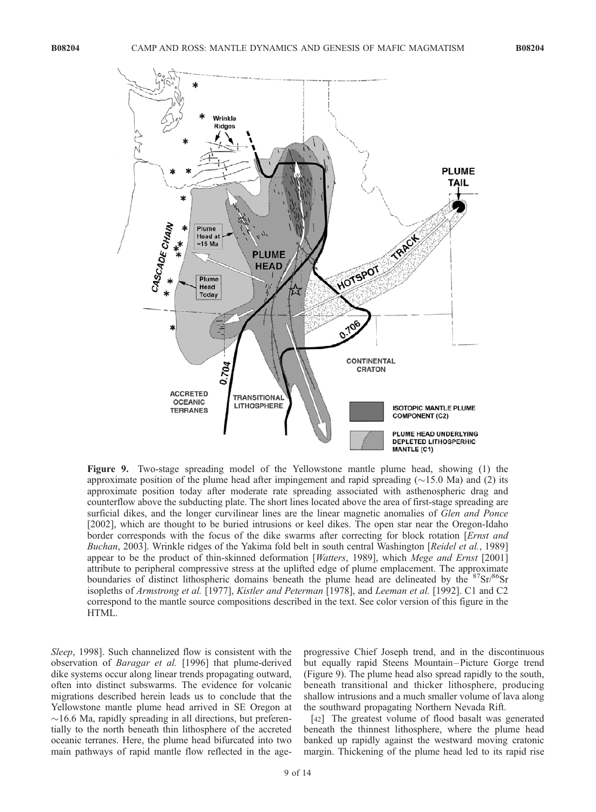

Figure 9. Two-stage spreading model of the Yellowstone mantle plume head, showing (1) the approximate position of the plume head after impingement and rapid spreading  $(\sim 15.0 \text{ Ma})$  and (2) its approximate position today after moderate rate spreading associated with asthenospheric drag and counterflow above the subducting plate. The short lines located above the area of first-stage spreading are surficial dikes, and the longer curvilinear lines are the linear magnetic anomalies of *Glen and Ponce* [2002], which are thought to be buried intrusions or keel dikes. The open star near the Oregon-Idaho border corresponds with the focus of the dike swarms after correcting for block rotation [*Ernst and* Buchan, 2003]. Wrinkle ridges of the Yakima fold belt in south central Washington [Reidel et al., 1989] appear to be the product of thin-skinned deformation [Watters, 1989], which Mege and Ernst [2001] attribute to peripheral compressive stress at the uplifted edge of plume emplacement. The approximate boundaries of distinct lithospheric domains beneath the plume head are delineated by the  $8′\text{Sr}}/86$ Sr isopleths of Armstrong et al. [1977], Kistler and Peterman [1978], and Leeman et al. [1992]. C1 and C2 correspond to the mantle source compositions described in the text. See color version of this figure in the HTML.

Sleep, 1998]. Such channelized flow is consistent with the observation of Baragar et al. [1996] that plume-derived dike systems occur along linear trends propagating outward, often into distinct subswarms. The evidence for volcanic migrations described herein leads us to conclude that the Yellowstone mantle plume head arrived in SE Oregon at  $\sim$ 16.6 Ma, rapidly spreading in all directions, but preferentially to the north beneath thin lithosphere of the accreted oceanic terranes. Here, the plume head bifurcated into two main pathways of rapid mantle flow reflected in the ageprogressive Chief Joseph trend, and in the discontinuous but equally rapid Steens Mountain –Picture Gorge trend (Figure 9). The plume head also spread rapidly to the south, beneath transitional and thicker lithosphere, producing shallow intrusions and a much smaller volume of lava along the southward propagating Northern Nevada Rift.

[42] The greatest volume of flood basalt was generated beneath the thinnest lithosphere, where the plume head banked up rapidly against the westward moving cratonic margin. Thickening of the plume head led to its rapid rise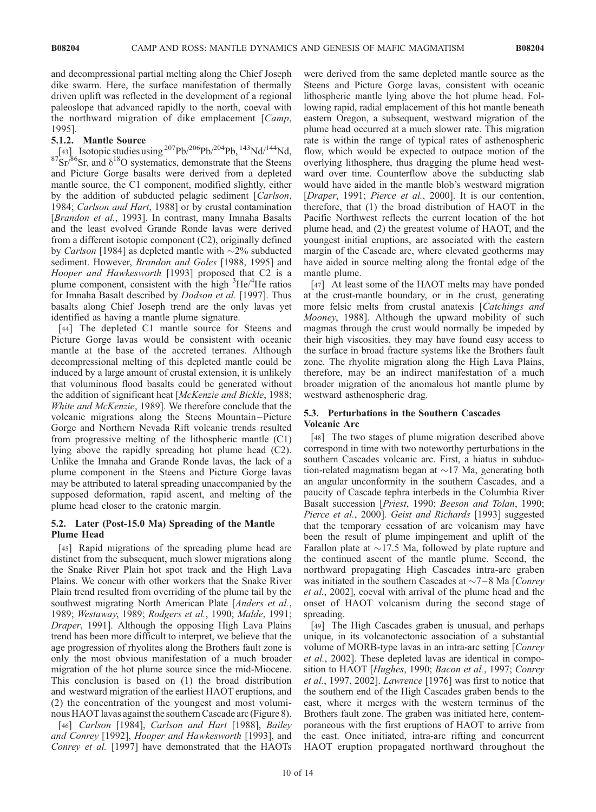and decompressional partial melting along the Chief Joseph dike swarm. Here, the surface manifestation of thermally driven uplift was reflected in the development of a regional paleoslope that advanced rapidly to the north, coeval with the northward migration of dike emplacement [Camp, 1995].

#### 5.1.2. Mantle Source

[43] Isotopic studies using  ${}^{207}Pb/{}^{206}Pb/{}^{204}Pb$ ,  ${}^{143}Nd/{}^{144}Nd$ .  $87\text{Sr}$ <sup>86</sup>Sr, and  $\delta^{18}$ O systematics, demonstrate that the Steens and Picture Gorge basalts were derived from a depleted mantle source, the C1 component, modified slightly, either by the addition of subducted pelagic sediment [Carlson, 1984; Carlson and Hart, 1988] or by crustal contamination [Brandon et al., 1993]. In contrast, many Imnaha Basalts and the least evolved Grande Ronde lavas were derived from a different isotopic component (C2), originally defined by *Carlson* [1984] as depleted mantle with  $\sim$ 2% subducted sediment. However, *Brandon and Goles* [1988, 1995] and Hooper and Hawkesworth [1993] proposed that C2 is a plume component, consistent with the high <sup>3</sup>He/<sup>4</sup>He ratios for Imnaha Basalt described by Dodson et al. [1997]. Thus basalts along Chief Joseph trend are the only lavas yet identified as having a mantle plume signature.

[44] The depleted C1 mantle source for Steens and Picture Gorge lavas would be consistent with oceanic mantle at the base of the accreted terranes. Although decompressional melting of this depleted mantle could be induced by a large amount of crustal extension, it is unlikely that voluminous flood basalts could be generated without the addition of significant heat [McKenzie and Bickle, 1988; White and McKenzie, 1989]. We therefore conclude that the volcanic migrations along the Steens Mountain –Picture Gorge and Northern Nevada Rift volcanic trends resulted from progressive melting of the lithospheric mantle (C1) lying above the rapidly spreading hot plume head (C2). Unlike the Imnaha and Grande Ronde lavas, the lack of a plume component in the Steens and Picture Gorge lavas may be attributed to lateral spreading unaccompanied by the supposed deformation, rapid ascent, and melting of the plume head closer to the cratonic margin.

#### 5.2. Later (Post-15.0 Ma) Spreading of the Mantle Plume Head

[45] Rapid migrations of the spreading plume head are distinct from the subsequent, much slower migrations along the Snake River Plain hot spot track and the High Lava Plains. We concur with other workers that the Snake River Plain trend resulted from overriding of the plume tail by the southwest migrating North American Plate [*Anders et al.*, 1989; Westaway, 1989; Rodgers et al., 1990; Malde, 1991; Draper, 1991]. Although the opposing High Lava Plains trend has been more difficult to interpret, we believe that the age progression of rhyolites along the Brothers fault zone is only the most obvious manifestation of a much broader migration of the hot plume source since the mid-Miocene. This conclusion is based on (1) the broad distribution and westward migration of the earliest HAOT eruptions, and (2) the concentration of the youngest and most voluminous HAOT lavas against the southern Cascade arc (Figure 8).

[46] Carlson [1984], Carlson and Hart [1988], Bailey and Conrey [1992], Hooper and Hawkesworth [1993], and Conrey et al. [1997] have demonstrated that the HAOTs

were derived from the same depleted mantle source as the Steens and Picture Gorge lavas, consistent with oceanic lithospheric mantle lying above the hot plume head. Following rapid, radial emplacement of this hot mantle beneath eastern Oregon, a subsequent, westward migration of the plume head occurred at a much slower rate. This migration rate is within the range of typical rates of asthenospheric flow, which would be expected to outpace motion of the overlying lithosphere, thus dragging the plume head westward over time. Counterflow above the subducting slab would have aided in the mantle blob's westward migration [Draper, 1991; Pierce et al., 2000]. It is our contention, therefore, that (1) the broad distribution of HAOT in the Pacific Northwest reflects the current location of the hot plume head, and (2) the greatest volume of HAOT, and the youngest initial eruptions, are associated with the eastern margin of the Cascade arc, where elevated geotherms may have aided in source melting along the frontal edge of the mantle plume.

[47] At least some of the HAOT melts may have ponded at the crust-mantle boundary, or in the crust, generating more felsic melts from crustal anatexis [Catchings and Mooney, 1988]. Although the upward mobility of such magmas through the crust would normally be impeded by their high viscosities, they may have found easy access to the surface in broad fracture systems like the Brothers fault zone. The rhyolite migration along the High Lava Plains, therefore, may be an indirect manifestation of a much broader migration of the anomalous hot mantle plume by westward asthenospheric drag.

## 5.3. Perturbations in the Southern Cascades Volcanic Arc

[48] The two stages of plume migration described above correspond in time with two noteworthy perturbations in the southern Cascades volcanic arc. First, a hiatus in subduction-related magmatism began at  $\sim$ 17 Ma, generating both an angular unconformity in the southern Cascades, and a paucity of Cascade tephra interbeds in the Columbia River Basalt succession [Priest, 1990; Beeson and Tolan, 1990; Pierce et al., 2000]. Geist and Richards [1993] suggested that the temporary cessation of arc volcanism may have been the result of plume impingement and uplift of the Farallon plate at  $\sim$ 17.5 Ma, followed by plate rupture and the continued ascent of the mantle plume. Second, the northward propagating High Cascades intra-arc graben was initiated in the southern Cascades at  $\sim$ 7–8 Ma [Conrey] et al., 2002], coeval with arrival of the plume head and the onset of HAOT volcanism during the second stage of spreading.

[49] The High Cascades graben is unusual, and perhaps unique, in its volcanotectonic association of a substantial volume of MORB-type lavas in an intra-arc setting [Conrey et al., 2002]. These depleted lavas are identical in composition to HAOT [*Hughes*, 1990; *Bacon et al.*, 1997; *Conrey* et al., 1997, 2002]. Lawrence [1976] was first to notice that the southern end of the High Cascades graben bends to the east, where it merges with the western terminus of the Brothers fault zone. The graben was initiated here, contemporaneous with the first eruptions of HAOT to arrive from the east. Once initiated, intra-arc rifting and concurrent HAOT eruption propagated northward throughout the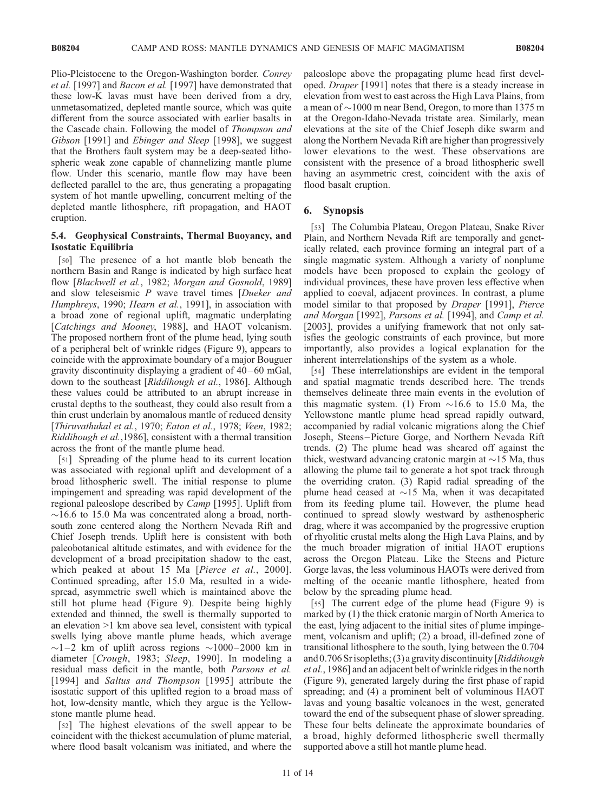Plio-Pleistocene to the Oregon-Washington border. Conrey et al. [1997] and Bacon et al. [1997] have demonstrated that these low-K lavas must have been derived from a dry, unmetasomatized, depleted mantle source, which was quite different from the source associated with earlier basalts in the Cascade chain. Following the model of Thompson and Gibson [1991] and *Ebinger and Sleep* [1998], we suggest that the Brothers fault system may be a deep-seated lithospheric weak zone capable of channelizing mantle plume flow. Under this scenario, mantle flow may have been deflected parallel to the arc, thus generating a propagating system of hot mantle upwelling, concurrent melting of the depleted mantle lithosphere, rift propagation, and HAOT eruption.

# 5.4. Geophysical Constraints, Thermal Buoyancy, and Isostatic Equilibria

[50] The presence of a hot mantle blob beneath the northern Basin and Range is indicated by high surface heat flow [Blackwell et al., 1982; Morgan and Gosnold, 1989] and slow teleseismic  $P$  wave travel times [Dueker and Humphreys, 1990; Hearn et al., 1991], in association with a broad zone of regional uplift, magmatic underplating [Catchings and Mooney, 1988], and HAOT volcanism. The proposed northern front of the plume head, lying south of a peripheral belt of wrinkle ridges (Figure 9), appears to coincide with the approximate boundary of a major Bouguer gravity discontinuity displaying a gradient of  $40-60$  mGal, down to the southeast [Riddihough et al., 1986]. Although these values could be attributed to an abrupt increase in crustal depths to the southeast, they could also result from a thin crust underlain by anomalous mantle of reduced density [Thiruvathukal et al., 1970; Eaton et al., 1978; Veen, 1982; Riddihough et al.,1986], consistent with a thermal transition across the front of the mantle plume head.

[51] Spreading of the plume head to its current location was associated with regional uplift and development of a broad lithospheric swell. The initial response to plume impingement and spreading was rapid development of the regional paleoslope described by Camp [1995]. Uplift from  $\sim$ 16.6 to 15.0 Ma was concentrated along a broad, northsouth zone centered along the Northern Nevada Rift and Chief Joseph trends. Uplift here is consistent with both paleobotanical altitude estimates, and with evidence for the development of a broad precipitation shadow to the east, which peaked at about 15 Ma [*Pierce et al.*, 2000]. Continued spreading, after 15.0 Ma, resulted in a widespread, asymmetric swell which is maintained above the still hot plume head (Figure 9). Despite being highly extended and thinned, the swell is thermally supported to an elevation >1 km above sea level, consistent with typical swells lying above mantle plume heads, which average  $\sim$ 1-2 km of uplift across regions  $\sim$ 1000-2000 km in diameter [Crough, 1983; Sleep, 1990]. In modeling a residual mass deficit in the mantle, both Parsons et al. [1994] and Saltus and Thompson [1995] attribute the isostatic support of this uplifted region to a broad mass of hot, low-density mantle, which they argue is the Yellowstone mantle plume head.

[52] The highest elevations of the swell appear to be coincident with the thickest accumulation of plume material, where flood basalt volcanism was initiated, and where the paleoslope above the propagating plume head first developed. Draper [1991] notes that there is a steady increase in elevation from west to east across the High Lava Plains, from a mean of  $\sim$ 1000 m near Bend, Oregon, to more than 1375 m at the Oregon-Idaho-Nevada tristate area. Similarly, mean elevations at the site of the Chief Joseph dike swarm and along the Northern Nevada Rift are higher than progressively lower elevations to the west. These observations are consistent with the presence of a broad lithospheric swell having an asymmetric crest, coincident with the axis of flood basalt eruption.

# 6. Synopsis

[53] The Columbia Plateau, Oregon Plateau, Snake River Plain, and Northern Nevada Rift are temporally and genetically related, each province forming an integral part of a single magmatic system. Although a variety of nonplume models have been proposed to explain the geology of individual provinces, these have proven less effective when applied to coeval, adjacent provinces. In contrast, a plume model similar to that proposed by Draper [1991], Pierce and Morgan [1992], Parsons et al. [1994], and Camp et al. [2003], provides a unifying framework that not only satisfies the geologic constraints of each province, but more importantly, also provides a logical explanation for the inherent interrelationships of the system as a whole.

[54] These interrelationships are evident in the temporal and spatial magmatic trends described here. The trends themselves delineate three main events in the evolution of this magmatic system. (1) From  $\sim$ 16.6 to 15.0 Ma, the Yellowstone mantle plume head spread rapidly outward, accompanied by radial volcanic migrations along the Chief Joseph, Steens –Picture Gorge, and Northern Nevada Rift trends. (2) The plume head was sheared off against the thick, westward advancing cratonic margin at  $\sim$ 15 Ma, thus allowing the plume tail to generate a hot spot track through the overriding craton. (3) Rapid radial spreading of the plume head ceased at  $\sim$ 15 Ma, when it was decapitated from its feeding plume tail. However, the plume head continued to spread slowly westward by asthenospheric drag, where it was accompanied by the progressive eruption of rhyolitic crustal melts along the High Lava Plains, and by the much broader migration of initial HAOT eruptions across the Oregon Plateau. Like the Steens and Picture Gorge lavas, the less voluminous HAOTs were derived from melting of the oceanic mantle lithosphere, heated from below by the spreading plume head.

[55] The current edge of the plume head (Figure 9) is marked by (1) the thick cratonic margin of North America to the east, lying adjacent to the initial sites of plume impingement, volcanism and uplift; (2) a broad, ill-defined zone of transitional lithosphere to the south, lying between the 0.704 and 0.706 Srisopleths; (3) a gravity discontinuity [Riddihough et al., 1986] and an adjacent belt of wrinkle ridges in the north (Figure 9), generated largely during the first phase of rapid spreading; and (4) a prominent belt of voluminous HAOT lavas and young basaltic volcanoes in the west, generated toward the end of the subsequent phase of slower spreading. These four belts delineate the approximate boundaries of a broad, highly deformed lithospheric swell thermally supported above a still hot mantle plume head.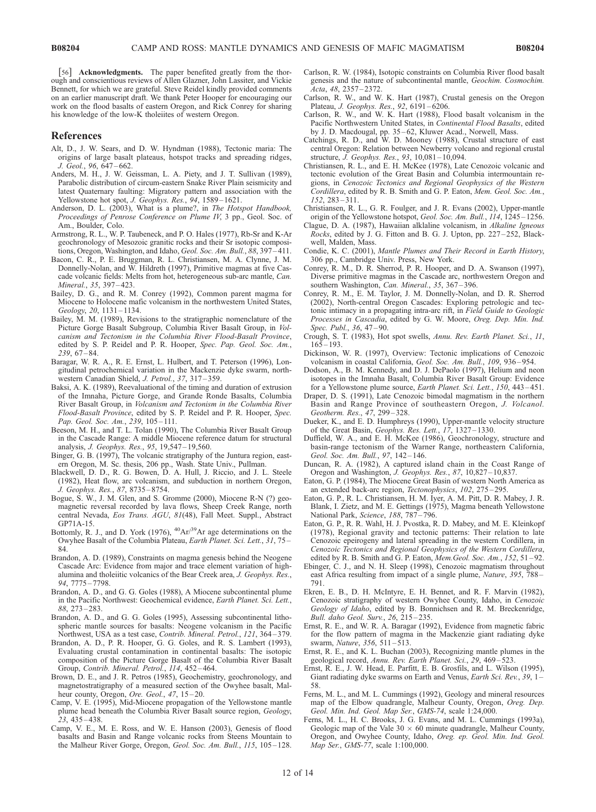[56] Acknowledgments. The paper benefited greatly from the thorough and conscientious reviews of Allen Glazner, John Lassiter, and Vickie Bennett, for which we are grateful. Steve Reidel kindly provided comments on an earlier manuscript draft. We thank Peter Hooper for encouraging our work on the flood basalts of eastern Oregon, and Rick Conrey for sharing his knowledge of the low-K tholeiites of western Oregon.

#### References

- Alt, D., J. W. Sears, and D. W. Hyndman (1988), Tectonic maria: The origins of large basalt plateaus, hotspot tracks and spreading ridges, J. Geol., 96, 647 – 662.
- Anders, M. H., J. W. Geissman, L. A. Piety, and J. T. Sullivan (1989), Parabolic distribution of circum-eastern Snake River Plain seismicity and latest Quaternary faulting: Migratory pattern and association with the Yellowstone hot spot, J. Geophys. Res., 94, 1589-1621.
- Anderson, D. L. (2003), What is a plume?, in The Hotspot Handbook, Proceedings of Penrose Conference on Plume IV, 3 pp., Geol. Soc. of Am., Boulder, Colo.
- Armstrong, R. L., W. P. Taubeneck, and P. O. Hales (1977), Rb-Sr and K-Ar geochronology of Mesozoic granitic rocks and their Sr isotopic compositions, Oregon, Washington, and Idaho, Geol. Soc. Am. Bull., 88, 397-411.
- Bacon, C. R., P. E. Bruggman, R. L. Christiansen, M. A. Clynne, J. M. Donnelly-Nolan, and W. Hildreth (1997), Primitive magmas at five Cascade volcanic fields: Melts from hot, heterogeneous sub-arc mantle, Can. Mineral., 35, 397-423.
- Bailey, D. G., and R. M. Conrey (1992), Common parent magma for Miocene to Holocene mafic volcanism in the northwestern United States, Geology, 20, 1131 – 1134.
- Bailey, M. M. (1989), Revisions to the stratigraphic nomenclature of the Picture Gorge Basalt Subgroup, Columbia River Basalt Group, in Volcanism and Tectonism in the Columbia River Flood-Basalt Province, edited by S. P. Reidel and P. R. Hooper, Spec. Pap. Geol. Soc. Am., 239, 67 – 84.
- Baragar, W. R. A., R. E. Ernst, L. Hulbert, and T. Peterson (1996), Longitudinal petrochemical variation in the Mackenzie dyke swarm, northwestern Canadian Shield, J. Petrol., 37, 317-359.
- Baksi, A. K. (1989), Reevaluational of the timing and duration of extrusion of the Imnaha, Picture Gorge, and Grande Ronde Basalts, Columbia River Basalt Group, in Volcanism and Tectonism in the Columbia River Flood-Basalt Province, edited by S. P. Reidel and P. R. Hooper, Spec. Pap. Geol. Soc. Am., 239, 105-111.
- Beeson, M. H., and T. L. Tolan (1990), The Columbia River Basalt Group in the Cascade Range: A middle Miocene reference datum for structural analysis, J. Geophys. Res., 95, 19,547 – 19,560.
- Binger, G. B. (1997), The volcanic stratigraphy of the Juntura region, eastern Oregon, M. Sc. thesis, 206 pp., Wash. State Univ., Pullman.
- Blackwell, D. D., R. G. Bowen, D. A. Hull, J. Riccio, and J. L. Steele (1982), Heat flow, arc volcanism, and subduction in northern Oregon, J. Geophys. Res., 87, 8735 – 8754.
- Bogue, S. W., J. M. Glen, and S. Gromme (2000), Miocene R-N (?) geomagnetic reversal recorded by lava flows, Sheep Creek Range, north central Nevada, Eos Trans. AGU, 81(48), Fall Meet. Suppl., Abstract GP71A-15.
- Bottomly, R. J., and D. York (1976),  ${}^{40}Ar/{}^{39}Ar$  age determinations on the Owyhee Basalt of the Columbia Plateau, Earth Planet. Sci. Lett., 31, 75 – 84.
- Brandon, A. D. (1989), Constraints on magma genesis behind the Neogene Cascade Arc: Evidence from major and trace element variation of highalumina and tholeiitic volcanics of the Bear Creek area, J. Geophys. Res., 94, 7775 – 7798.
- Brandon, A. D., and G. G. Goles (1988), A Miocene subcontinental plume in the Pacific Northwest: Geochemical evidence, Earth Planet. Sci. Lett., 88, 273 – 283.
- Brandon, A. D., and G. G. Goles (1995), Assessing subcontinental lithospheric mantle sources for basalts: Neogene volcanism in the Pacific Northwest, USA as a test case, Contrib. Mineral. Petrol., 121, 364-379.
- Brandon, A. D., P. R. Hooper, G. G. Goles, and R. S. Lambert (1993), Evaluating crustal contamination in continental basalts: The isotopic composition of the Picture Gorge Basalt of the Columbia River Basalt Group, Contrib. Mineral. Petrol., 114, 452-464.
- Brown, D. E., and J. R. Petros (1985), Geochemistry, geochronology, and magnetostratigraphy of a measured section of the Owyhee basalt, Malheur county, Oregon, Ore. Geol., 47, 15-20.
- Camp, V. E. (1995), Mid-Miocene propagation of the Yellowstone mantle plume head beneath the Columbia River Basalt source region, Geology, 23, 435 – 438.
- Camp, V. E., M. E. Ross, and W. E. Hanson (2003), Genesis of flood basalts and Basin and Range volcanic rocks from Steens Mountain to the Malheur River Gorge, Oregon, Geol. Soc. Am. Bull., 115, 105-128.
- Carlson, R. W. (1984), Isotopic constraints on Columbia River flood basalt genesis and the nature of subcontinental mantle, Geochim. Cosmochim. Acta, 48, 2357 – 2372.
- Carlson, R. W., and W. K. Hart (1987), Crustal genesis on the Oregon Plateau, J. Geophys. Res., 92, 6191-6206.
- Carlson, R. W., and W. K. Hart (1988), Flood basalt volcanism in the Pacific Northwestern United States, in Continental Flood Basalts, edited by J. D. Macdougal, pp. 35 – 62, Kluwer Acad., Norwell, Mass.
- Catchings, R. D., and W. D. Mooney (1988), Crustal structure of east central Oregon: Relation between Newberry volcano and regional crustal structure, *J. Geophys. Res.*, 93, 10,081-10,094.
- Christiansen, R. L., and E. H. McKee (1978), Late Cenozoic volcanic and tectonic evolution of the Great Basin and Columbia intermountain regions, in Cenozoic Tectonics and Regional Geophysics of the Western Cordillera, edited by R. B. Smith and G. P. Eaton, Mem. Geol. Soc. Am., 152, 283 – 311.
- Christiansen, R. L., G. R. Foulger, and J. R. Evans (2002), Upper-mantle origin of the Yellowstone hotspot, Geol. Soc. Am. Bull., 114, 1245 – 1256.
- Clague, D. A. (1987), Hawaiian alklaline volcanism, in Alkaline Igneous Rocks, edited by J. G. Fitton and B. G. J. Upton, pp. 227 – 252, Blackwell, Malden, Mass.
- Condie, K. C. (2001), Mantle Plumes and Their Record in Earth History, 306 pp., Cambridge Univ. Press, New York.
- Conrey, R. M., D. R. Sherrod, P. R. Hooper, and D. A. Swanson (1997), Diverse primitive magmas in the Cascade arc, northwestern Oregon and southern Washington, Can. Mineral., 35, 367-396.
- Conrey, R. M., E. M. Taylor, J. M. Donnelly-Nolan, and D. R. Sherrod (2002), North-central Oregon Cascades: Exploring petrologic and tectonic intimacy in a propagating intra-arc rift, in Field Guide to Geologic Processes in Cascadia, edited by G. W. Moore, Oreg. Dep. Min. Ind. Spec. Publ., 36, 47-90.
- Crough, S. T. (1983), Hot spot swells, Annu. Rev. Earth Planet. Sci., 11,  $165 - 193$
- Dickinson, W. R. (1997), Overview: Tectonic implications of Cenozoic volcanism in coastal California, Geol. Soc. Am. Bull., 109, 936-954.
- Dodson, A., B. M. Kennedy, and D. J. DePaolo (1997), Helium and neon isotopes in the Imnaha Basalt, Columbia River Basalt Group: Evidence for a Yellowstone plume source, Earth Planet. Sci. Lett., 150, 443-451.
- Draper, D. S. (1991), Late Cenozoic bimodal magmatism in the northern Basin and Range Province of southeastern Oregon, J. Volcanol. Geotherm. Res., 47, 299 – 328.
- Dueker, K., and E. D. Humphreys (1990), Upper-mantle velocity structure of the Great Basin, Geophys. Res. Lett.,  $17, 1327 - 1330$ .
- Duffield, W. A., and E. H. McKee (1986), Geochronology, structure and basin-range tectonism of the Warner Range, northeastern California, Geol. Soc. Am. Bull., 97, 142 – 146.
- Duncan, R. A. (1982), A captured island chain in the Coast Range of Oregon and Washington, J. Geophys. Res., 87, 10,827 – 10,837.
- Eaton, G. P. (1984), The Miocene Great Basin of western North America as an extended back-arc region, Tectonophysics, 102, 275 – 295.
- Eaton, G. P., R. L. Christiansen, H. M. Iyer, A. M. Pitt, D. R. Mabey, J. R. Blank, I. Zietz, and M. E. Gettings (1975), Magma beneath Yellowstone National Park, Science, 188, 787-796.
- Eaton, G. P., R. R. Wahl, H. J. Pvostka, R. D. Mabey, and M. E. Kleinkopf (1978), Regional gravity and tectonic patterns: Their relation to late Cenozoic epeirogeny and lateral spreading in the western Cordillera, in Cenozoic Tectonics and Regional Geophysics of the Western Cordillera, edited by R. B. Smith and G. P. Eaton, Mem. Geol. Soc. Am., 152, 51-92.
- Ebinger, C. J., and N. H. Sleep (1998), Cenozoic magmatism throughout east Africa resulting from impact of a single plume, Nature, 395, 788 – 791.
- Ekren, E. B., D. H. McIntyre, E. H. Bennet, and R. F. Marvin (1982), Cenozoic stratigraphy of western Owyhee County, Idaho, in Cenozoic Geology of Idaho, edited by B. Bonnichsen and R. M. Breckenridge, Bull. daho Geol. Surv., 26, 215 – 235.
- Ernst, R. E., and W. R. A. Baragar (1992), Evidence from magnetic fabric for the flow pattern of magma in the Mackenzie giant radiating dyke swarm, Nature, 356, 511-513.
- Ernst, R. E., and K. L. Buchan (2003), Recognizing mantle plumes in the geological record, Annu. Rev. Earth Planet. Sci., 29, 469-523.
- Ernst, R. E., J. W. Head, E. Parfitt, E. B. Grosfils, and L. Wilson (1995), Giant radiating dyke swarms on Earth and Venus, Earth Sci. Rev., 39, 1-58.
- Ferns, M. L., and M. L. Cummings (1992), Geology and mineral resources map of the Elbow quadrangle, Malheur County, Oregon, Oreg. Dep. Geol. Min. Ind. Geol. Map Ser., GMS-74, scale 1:24,000.
- Ferns, M. L., H. C. Brooks, J. G. Evans, and M. L. Cummings (1993a), Geologic map of the Vale  $30 \times 60$  minute quadrangle, Malheur County, Oregon, and Owyhee County, Idaho, Oreg. ep. Geol. Min. Ind. Geol. Map Ser., GMS-77, scale 1:100,000.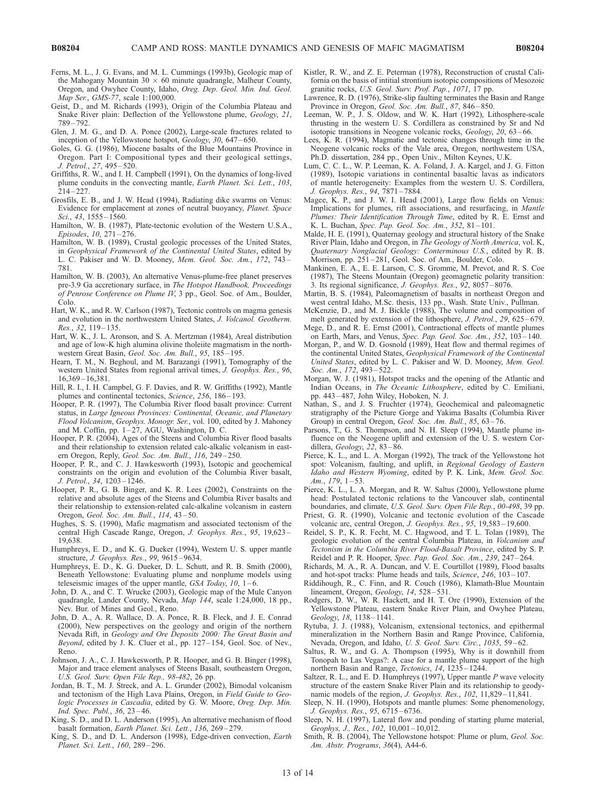- Ferns, M. L., J. G. Evans, and M. L. Cummings (1993b), Geologic map of the Mahogany Mountain  $30 \times 60$  minute quadrangle, Malheur County, Oregon, and Owyhee County, Idaho, Oreg. Dep. Geol. Min. Ind. Geol. Map Ser., GMS-77, scale 1:100,000.
- Geist, D., and M. Richards (1993), Origin of the Columbia Plateau and Snake River plain: Deflection of the Yellowstone plume, Geology, 21, 789 – 792.
- Glen, J. M. G., and D. A. Ponce (2002), Large-scale fractures related to inception of the Yellowstone hotspot, Geology, 30, 647–650.
- Goles, G. G. (1986), Miocene basalts of the Blue Mountains Province in Oregon. Part I: Compositional types and their geological settings, J. Petrol., 27, 495 – 520.
- Griffiths, R. W., and I. H. Campbell (1991), On the dynamics of long-lived plume conduits in the convecting mantle, Earth Planet. Sci. Lett., 103,  $214 - 227$
- Grosfils, E. B., and J. W. Head (1994), Radiating dike swarms on Venus: Evidence for emplacement at zones of neutral buoyancy, Planet. Space Sci., 43, 1555 – 1560.
- Hamilton, W. B. (1987), Plate-tectonic evolution of the Western U.S.A., Episodes, 10, 271 – 276.
- Hamilton, W. B. (1989), Crustal geologic processes of the United States, in Geophysical Framework of the Continental United States, edited by L. C. Pakiser and W. D. Mooney, Mem. Geol. Soc. Am., 172, 743-781.
- Hamilton, W. B. (2003), An alternative Venus-plume-free planet preserves pre-3.9 Ga accretionary surface, in The Hotspot Handbook, Proceedings of Penrose Conference on Plume IV, 3 pp., Geol. Soc. of Am., Boulder, Colo.
- Hart, W. K., and R. W. Carlson (1987), Tectonic controls on magma genesis and evolution in the northwestern United States, J. Volcanol. Geotherm. Res.,  $32$ ,  $119 - 135$ .
- Hart, W. K., J. L. Aronson, and S. A. Mertzman (1984), Areal distribution and age of low-K high alumina olivine tholeiite magmatism in the northwestern Great Basin, Geol. Soc. Am. Bull., 95, 185-195.
- Hearn, T. M., N. Beghoul, and M. Barazangi (1991), Tomography of the western United States from regional arrival times, J. Geophys. Res., 96, 16,369 – 16,381.
- Hill, R. I., I. H. Campbel, G. F. Davies, and R. W. Griffiths (1992), Mantle plumes and continental tectonics, Science, 256, 186-193.
- Hooper, P. R. (1997), The Columbia River flood basalt province: Current status, in Large Igneous Provinces: Continental, Oceanic, and Planetary Flood Volcanism, Geophys. Monogr. Ser., vol. 100, edited by J. Mahoney and M. Coffin, pp.  $1-27$ , AGU, Washington, D. C.
- Hooper, P. R. (2004), Ages of the Steens and Columbia River flood basalts and their relationship to extension related calc-alkalic volcanism in eastern Oregon, Reply, Geol. Soc. Am. Bull., 116, 249-250.
- Hooper, P. R., and C. J. Hawkesworth (1993), Isotopic and geochemical constraints on the origin and evolution of the Columbia River basalt, J. Petrol., 34, 1203 – 1246.
- Hooper, P. R., G. B. Binger, and K. R. Lees (2002), Constraints on the relative and absolute ages of the Steens and Columbia River basalts and their relationship to extension-related calc-alkaline volcanism in eastern Oregon, Geol. Soc. Am. Bull., 114, 43 – 50.
- Hughes, S. S. (1990), Mafic magmatism and associated tectonism of the central High Cascade Range, Oregon, J. Geophys. Res., 95, 19,623 – 19,638.
- Humphreys, E. D., and K. G. Dueker (1994), Western U. S. upper mantle structure, J. Geophys. Res., 99, 9615 – 9634.
- Humphreys, E. D., K. G. Dueker, D. L. Schutt, and R. B. Smith (2000), Beneath Yellowstone: Evaluating plume and nonplume models using teleseismic images of the upper mantle,  $GSA$  Today, 10, 1-6.
- John, D. A., and C. T. Wrucke (2003), Geologic map of the Mule Canyon quadrangle, Lander County, Nevada, Map 144, scale 1:24,000, 18 pp., Nev. Bur. of Mines and Geol., Reno.
- John, D. A., A. R. Wallace, D. A. Ponce, R. B. Fleck, and J. E. Conrad (2000), New perspectives on the geology and origin of the northern Nevada Rift, in Geology and Ore Deposits 2000: The Great Basin and Beyond, edited by J. K. Cluer et al., pp. 127-154, Geol. Soc. of Nev., Reno.
- Johnson, J. A., C. J. Hawkesworth, P. R. Hooper, and G. B. Binger (1998), Major and trace element analyses of Steens Basalt, southeastern Oregon, U.S. Geol. Surv. Open File Rep., 98-482, 26 pp.
- Jordan, B. T., M. J. Streck, and A. L. Grunder (2002), Bimodal volcanism and tectonism of the High Lava Plains, Oregon, in Field Guide to Geologic Processes in Cascadia, edited by G. W. Moore, Oreg. Dep. Min. Ind. Spec. Publ., 36, 23 – 46.
- King, S. D., and D. L. Anderson (1995), An alternative mechanism of flood basalt formation, Earth Planet. Sci. Lett., 136, 269-279.
- King, S. D., and D. L. Anderson (1998), Edge-driven convection, Earth Planet. Sci. Lett., 160, 289-296.
- Kistler, R. W., and Z. E. Peterman (1978), Reconstruction of crustal California on the basis of intitial strontium isotopic compositions of Mesozoic granitic rocks, U.S. Geol. Surv. Prof. Pap., 1071, 17 pp.
- Lawrence, R. D. (1976), Strike-slip faulting terminates the Basin and Range Province in Oregon, Geol. Soc. Am. Bull., 87, 846-850.
- Leeman, W. P., J. S. Oldow, and W. K. Hart (1992), Lithosphere-scale thrusting in the western U. S. Cordillera as constrained by Sr and Nd isotopic transitions in Neogene volcanic rocks, Geology, 20, 63 – 66.
- Lees, K. R. (1994), Magmatic and tectonic changes through time in the Neogene volcanic rocks of the Vale area, Oregon, northwestern USA, Ph.D. dissertation, 284 pp., Open Univ., Milton Keynes, U.K.
- Lum, C. C. L., W. P. Leeman, K. A. Foland, J. A. Kargel, and J. G. Fitton (1989), Isotopic variations in continental basaltic lavas as indicators of mantle heterogeneity: Examples from the western U. S. Cordillera, J. Geophys. Res., 94, 7871 – 7884.
- Magee, K. P., and J. W. I. Head (2001), Large flow fields on Venus: Implications for plumes, rift associations, and resurfacing, in Mantle Plumes: Their Identification Through Time, edited by R. E. Ernst and K. L. Buchan, Spec. Pap. Geol. Soc. Am., 352, 81-101.
- Malde, H. E. (1991), Quaternay geology and structural history of the Snake River Plain, Idaho and Oregon, in The Geology of North America, vol. K, Quaternary Nonglacial Geology: Conterminous U.S., edited by R. B. Morrison, pp. 251 – 281, Geol. Soc. of Am., Boulder, Colo.
- Mankinen, E. A., E. E. Larson, C. S. Gromme, M. Prevot, and R. S. Coe (1987), The Steens Mountain (Oregon) geomagnetic polarity transition: 3. Its regional significance, J. Geophys. Res., 92, 8057-8076.
- Martin, B. S. (1984), Paleomagnetism of basalts in northeast Oregon and west central Idaho, M.Sc. thesis, 133 pp., Wash. State Univ., Pullman.
- McKenzie, D., and M. J. Bickle (1988), The volume and composition of melt generated by extension of the lithosphere, J. Petrol.,  $29, 625 - 679$ .
- Mege, D., and R. E. Ernst (2001), Contractional effects of mantle plumes on Earth, Mars, and Venus, Spec. Pap. Geol. Soc. Am., 352, 103 – 140.
- Morgan, P., and W. D. Gosnold (1989), Heat flow and thermal regimes of the continental United States, Geophysical Framework of the Continental United States, edited by L. C. Pakiser and W. D. Mooney, Mem. Geol. Soc. Am., 172, 493-522.
- Morgan, W. J. (1981), Hotspot tracks and the opening of the Atlantic and Indian Oceans, in The Oceanic Lithosphere, edited by C. Emiliani, pp. 443 – 487, John Wiley, Hoboken, N. J.
- Nathan, S., and J. S. Fruchter (1974), Geochemical and paleomagnetic stratigraphy of the Picture Gorge and Yakima Basalts (Columbia River Group) in central Oregon, Geol. Soc. Am. Bull., 85, 63-76.
- Parsons, T., G. S. Thompson, and N. H. Sleep (1994), Mantle plume influence on the Neogene uplift and extension of the U. S. western Cordillera, Geology, 22, 83-86.
- Pierce, K. L., and L. A. Morgan (1992), The track of the Yellowstone hot spot: Volcanism, faulting, and uplift, in Regional Geology of Eastern Idaho and Western Wyoming, edited by P. K. Link, Mem. Geol. Soc. Am.,  $179, 1-53$ .
- Pierce, K. L., L. A. Morgan, and R. W. Saltus (2000), Yellowstone plume head: Postulated tectonic relations to the Vancouver slab, continental boundaries, and climate, U.S. Geol. Surv. Open File Rep., 00-498, 39 pp.
- Priest, G. R. (1990), Volcanic and tectonic evolution of the Cascade volcanic arc, central Oregon, J. Geophys. Res., 95, 19,583 – 19,600.
- Reidel, S. P., K. R. Fecht, M. C. Hagwood, and T. L. Tolan (1989), The geologic evolution of the central Columbia Plateau, in Volcanism and Tectonism in the Columbia River Flood-Basalt Province, edited by S. P. Reidel and P. R. Hooper, Spec. Pap. Geol. Soc. Am., 239, 247-264.
- Richards, M. A., R. A. Duncan, and V. E. Courtillot (1989), Flood basalts and hot-spot tracks: Plume heads and tails, Science, 246, 103-107.
- Riddihough, R., C. Finn, and R. Couch (1986), Klamath-Blue Mountain lineament, Oregon, Geology, 14, 528-531.
- Rodgers, D. W., W. R. Hackett, and H. T. Ore (1990), Extension of the Yellowstone Plateau, eastern Snake River Plain, and Owyhee Plateau, Geology, 18, 1138-1141.
- Rytuba, J. J. (1988), Volcanism, extensional tectonics, and epithermal mineralization in the Northern Basin and Range Province, California, Nevada, Oregon, and Idaho, U. S. Geol. Surv. Circ., 1035, 59-62.
- Saltus, R. W., and G. A. Thompson (1995), Why is it downhill from Tonopah to Las Vegas?: A case for a mantle plume support of the high northern Basin and Range, Tectonics, 14, 1235 – 1244.
- Saltzer, R. L., and E. D. Humphreys (1997), Upper mantle P wave velocity structure of the eastern Snake River Plain and its relationship to geodynamic models of the region, J. Geophys. Res., 102, 11,829-11,841.
- Sleep, N. H. (1990), Hotspots and mantle plumes: Some phenomenology, J. Geophys. Res., 95, 6715 – 6736.
- Sleep, N. H. (1997), Lateral flow and ponding of starting plume material, Geophys, J., Res., 102, 10,001-10,012.
- Smith, R. B. (2004), The Yellowstone hotspot: Plume or plum, Geol. Soc. Am. Abstr. Programs, 36(4), A44-6.